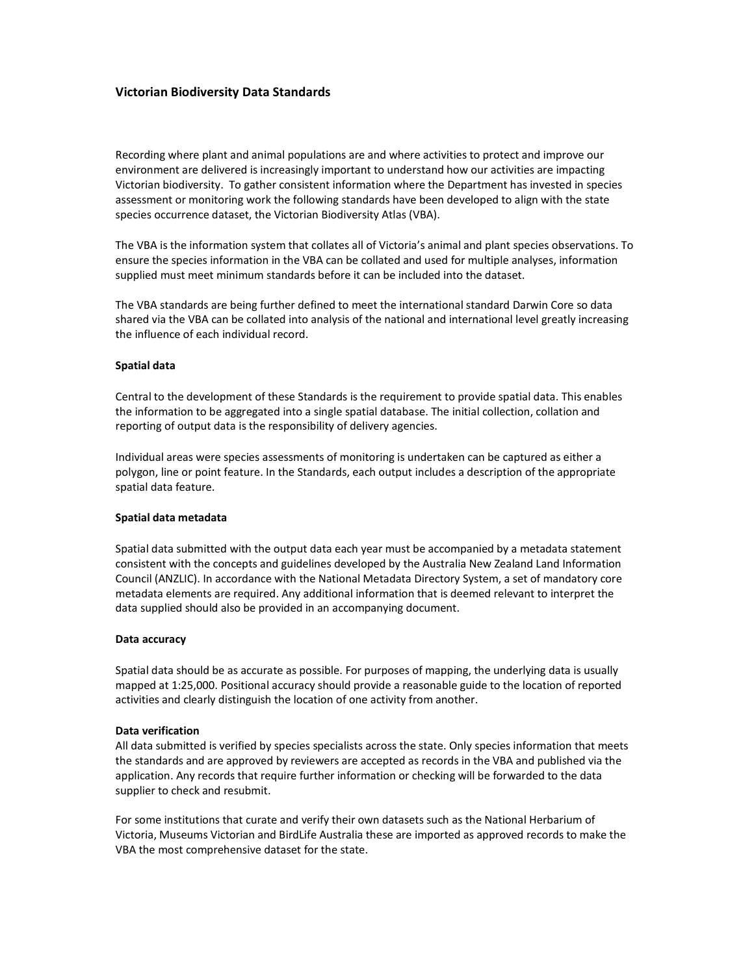## Victorian Biodiversity Data Standards

Recording where plant and animal populations are and where activities to protect and improve our environment are delivered is increasingly important to understand how our activities are impacting Victorian biodiversity. To gather consistent information where the Department has invested in species assessment or monitoring work the following standards have been developed to align with the state species occurrence dataset, the Victorian Biodiversity Atlas (VBA).

The VBA is the information system that collates all of Victoria's animal and plant species observations. To ensure the species information in the VBA can be collated and used for multiple analyses, information supplied must meet minimum standards before it can be included into the dataset.

The VBA standards are being further defined to meet the international standard Darwin Core so data shared via the VBA can be collated into analysis of the national and international level greatly increasing the influence of each individual record.

#### Spatial data

Central to the development of these Standards is the requirement to provide spatial data. This enables the information to be aggregated into a single spatial database. The initial collection, collation and reporting of output data is the responsibility of delivery agencies.

Individual areas were species assessments of monitoring is undertaken can be captured as either a polygon, line or point feature. In the Standards, each output includes a description of the appropriate spatial data feature.

#### Spatial data metadata

Spatial data submitted with the output data each year must be accompanied by a metadata statement consistent with the concepts and guidelines developed by the Australia New Zealand Land Information Council (ANZLIC). In accordance with the National Metadata Directory System, a set of mandatory core metadata elements are required. Any additional information that is deemed relevant to interpret the data supplied should also be provided in an accompanying document.

#### Data accuracy

Spatial data should be as accurate as possible. For purposes of mapping, the underlying data is usually mapped at 1:25,000. Positional accuracy should provide a reasonable guide to the location of reported activities and clearly distinguish the location of one activity from another.

#### Data verification

All data submitted is verified by species specialists across the state. Only species information that meets the standards and are approved by reviewers are accepted as records in the VBA and published via the application. Any records that require further information or checking will be forwarded to the data supplier to check and resubmit.

For some institutions that curate and verify their own datasets such as the National Herbarium of Victoria, Museums Victorian and BirdLife Australia these are imported as approved records to make the VBA the most comprehensive dataset for the state.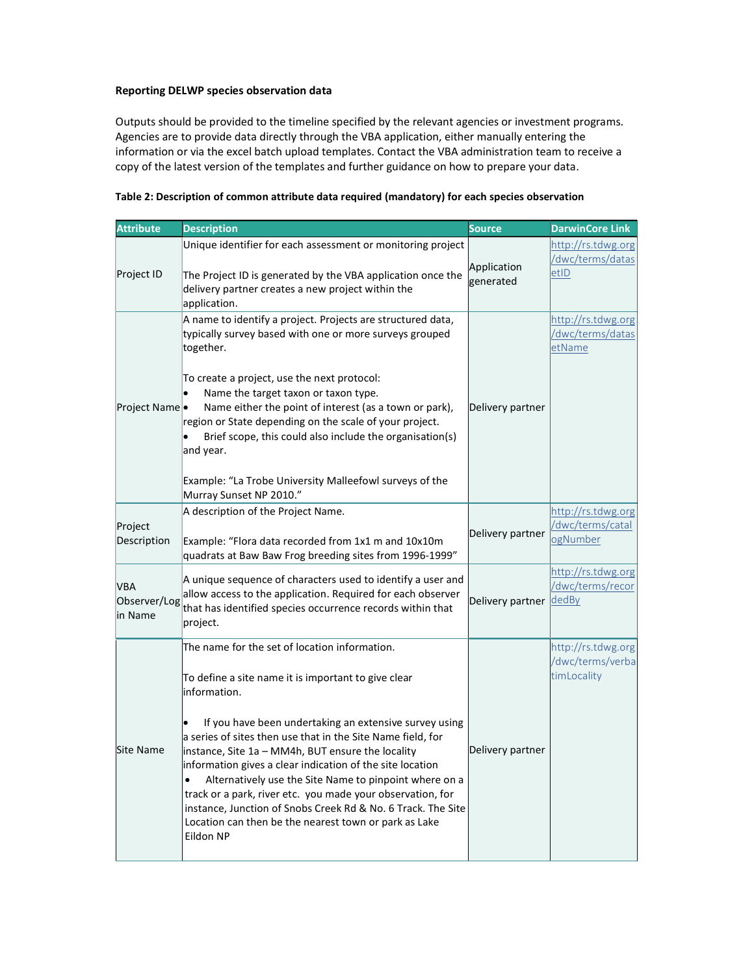### Reporting DELWP species observation data

Outputs should be provided to the timeline specified by the relevant agencies or investment programs. Agencies are to provide data directly through the VBA application, either manually entering the information or via the excel batch upload templates. Contact the VBA administration team to receive a copy of the latest version of the templates and further guidance on how to prepare your data.

| <b>Attribute</b>                      | <b>Description</b>                                                                                                                                                                                                                                                                                                                                                                                                                                                                                                                                                                                                                         | <b>Source</b>            | <b>DarwinCore Link</b>                                |
|---------------------------------------|--------------------------------------------------------------------------------------------------------------------------------------------------------------------------------------------------------------------------------------------------------------------------------------------------------------------------------------------------------------------------------------------------------------------------------------------------------------------------------------------------------------------------------------------------------------------------------------------------------------------------------------------|--------------------------|-------------------------------------------------------|
| Project ID                            | Unique identifier for each assessment or monitoring project<br>The Project ID is generated by the VBA application once the<br>delivery partner creates a new project within the<br>application.                                                                                                                                                                                                                                                                                                                                                                                                                                            | Application<br>generated | http://rs.tdwg.org<br>/dwc/terms/datas<br>etID        |
| Project Name                          | A name to identify a project. Projects are structured data,<br>typically survey based with one or more surveys grouped<br>together.<br>To create a project, use the next protocol:<br>Name the target taxon or taxon type.<br>Name either the point of interest (as a town or park),<br>region or State depending on the scale of your project.<br>Brief scope, this could also include the organisation(s)<br>and year.<br>Example: "La Trobe University Malleefowl surveys of the<br>Murray Sunset NP 2010."                                                                                                                             | Delivery partner         | http://rs.tdwg.org<br>/dwc/terms/datas<br>etName      |
| Project<br>Description                | A description of the Project Name.<br>Example: "Flora data recorded from 1x1 m and 10x10m<br>quadrats at Baw Baw Frog breeding sites from 1996-1999"                                                                                                                                                                                                                                                                                                                                                                                                                                                                                       | Delivery partner         | http://rs.tdwg.org<br>/dwc/terms/catal<br>ogNumber    |
| <b>VBA</b><br>Observer/Log<br>in Name | A unique sequence of characters used to identify a user and<br>allow access to the application. Required for each observer<br>that has identified species occurrence records within that<br>project.                                                                                                                                                                                                                                                                                                                                                                                                                                       | Delivery partner         | http://rs.tdwg.org<br>/dwc/terms/recor<br>dedBy       |
| <b>Site Name</b>                      | The name for the set of location information.<br>To define a site name it is important to give clear<br>information.<br>If you have been undertaking an extensive survey using<br>a series of sites then use that in the Site Name field, for<br>instance, Site 1a - MM4h, BUT ensure the locality<br>information gives a clear indication of the site location<br>Alternatively use the Site Name to pinpoint where on a<br>$\bullet$<br>track or a park, river etc. you made your observation, for<br>instance, Junction of Snobs Creek Rd & No. 6 Track. The Site<br>Location can then be the nearest town or park as Lake<br>Eildon NP | Delivery partner         | http://rs.tdwg.org<br>/dwc/terms/verba<br>timLocality |

# Table 2: Description of common attribute data required (mandatory) for each species observation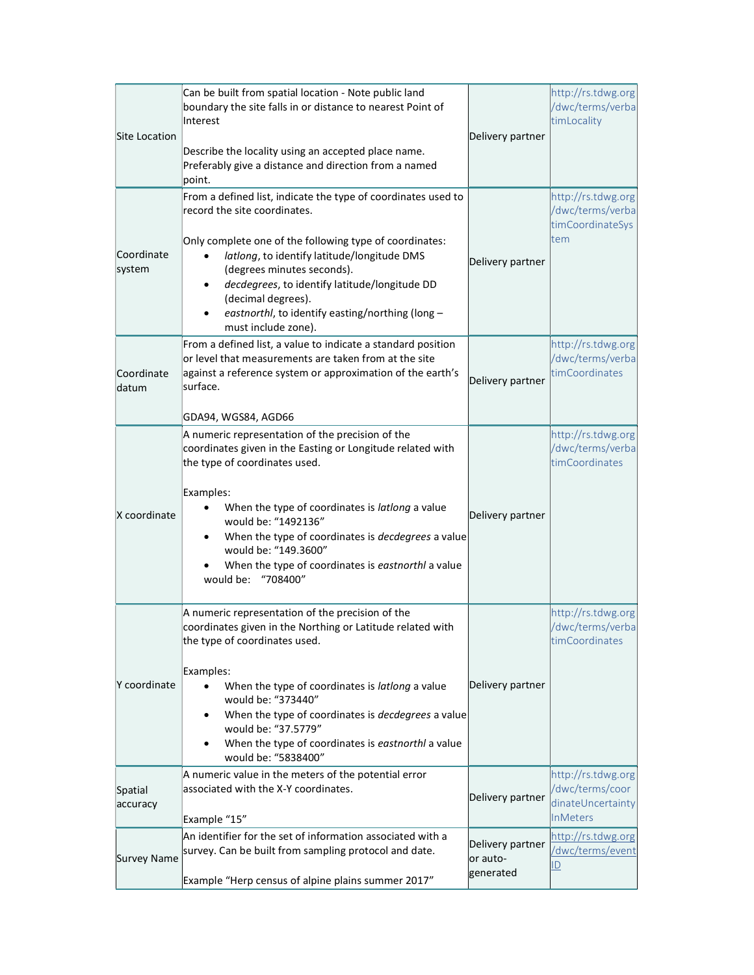| <b>Site Location</b> | Can be built from spatial location - Note public land<br>boundary the site falls in or distance to nearest Point of<br>Interest<br>Describe the locality using an accepted place name.<br>Preferably give a distance and direction from a named<br>point.                                                                                                                                            | Delivery partner                          | http://rs.tdwg.org<br>/dwc/terms/verba<br>timLocality                         |
|----------------------|------------------------------------------------------------------------------------------------------------------------------------------------------------------------------------------------------------------------------------------------------------------------------------------------------------------------------------------------------------------------------------------------------|-------------------------------------------|-------------------------------------------------------------------------------|
| Coordinate<br>system | From a defined list, indicate the type of coordinates used to<br>record the site coordinates.<br>Only complete one of the following type of coordinates:<br>latlong, to identify latitude/longitude DMS<br>(degrees minutes seconds).<br>decdegrees, to identify latitude/longitude DD<br>(decimal degrees).<br>eastnorthl, to identify easting/northing (long -<br>must include zone).              | Delivery partner                          | http://rs.tdwg.org<br>/dwc/terms/verba<br>timCoordinateSys<br>tem             |
| Coordinate<br>datum  | From a defined list, a value to indicate a standard position<br>or level that measurements are taken from at the site<br>against a reference system or approximation of the earth's<br>surface.<br>GDA94, WGS84, AGD66                                                                                                                                                                               | Delivery partner                          | http://rs.tdwg.org<br>/dwc/terms/verba<br>timCoordinates                      |
| X coordinate         | A numeric representation of the precision of the<br>coordinates given in the Easting or Longitude related with<br>the type of coordinates used.<br>Examples:<br>When the type of coordinates is latlong a value<br>would be: "1492136"<br>When the type of coordinates is decdegrees a value<br>would be: "149.3600"<br>When the type of coordinates is eastnorthl a value<br>would be: "708400"     | Delivery partner                          | http://rs.tdwg.org<br>/dwc/terms/verba<br>timCoordinates                      |
| Y coordinate         | A numeric representation of the precision of the<br>coordinates given in the Northing or Latitude related with<br>the type of coordinates used.<br>Examples:<br>When the type of coordinates is latlong a value<br>would be: "373440"<br>When the type of coordinates is decdegrees a value<br>٠<br>would be: "37.5779"<br>When the type of coordinates is eastnorthl a value<br>would be: "5838400" | Delivery partner                          | http://rs.tdwg.org<br>/dwc/terms/verba<br>timCoordinates                      |
| Spatial<br>accuracy  | A numeric value in the meters of the potential error<br>associated with the X-Y coordinates.<br>Example "15"                                                                                                                                                                                                                                                                                         | Delivery partner                          | http://rs.tdwg.org<br>/dwc/terms/coor<br>dinateUncertainty<br><b>InMeters</b> |
| <b>Survey Name</b>   | An identifier for the set of information associated with a<br>survey. Can be built from sampling protocol and date.<br>Example "Herp census of alpine plains summer 2017"                                                                                                                                                                                                                            | Delivery partner<br>or auto-<br>generated | http://rs.tdwg.org<br>/dwc/terms/event<br>$\underline{\mathsf{ID}}$           |